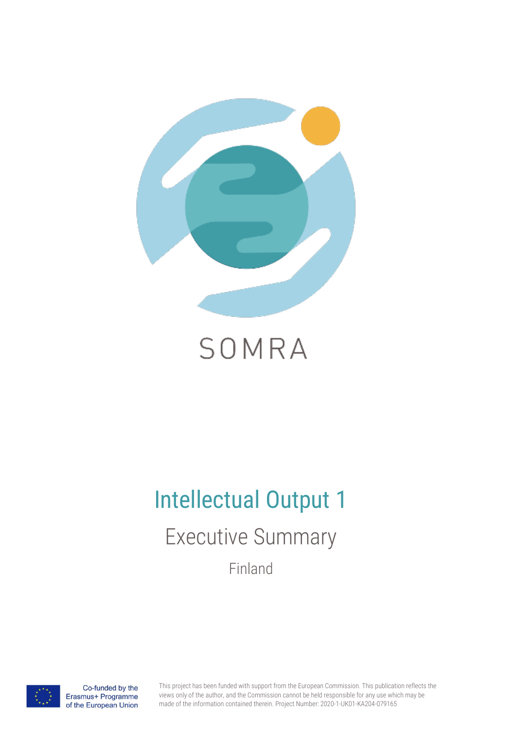

# SOMRA

# Intellectual Output 1

Executive Summary

Finland



Co-funded by the Erasmus+ Programme of the European Union This project has been funded with support from the European Commission. This publication reflects the views only of the author, and the Commission cannot be held responsible for any use which may be made of the information contained therein. Project Number: 2020-1-UK01-KA204-079165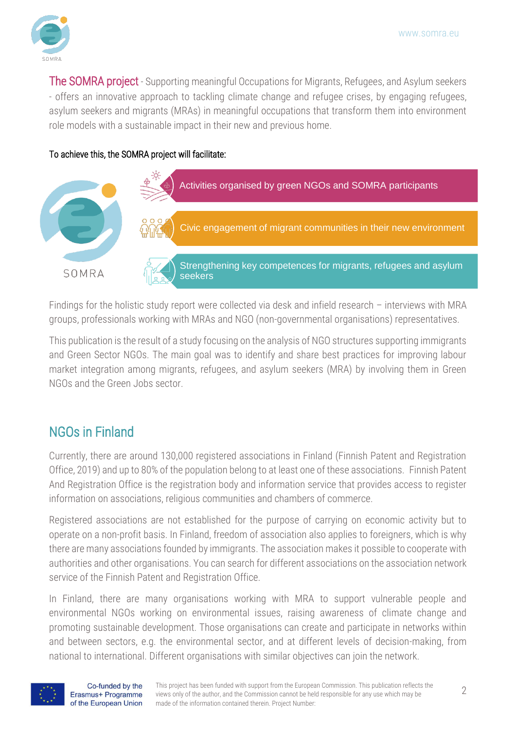

The SOMRA project - Supporting meaningful Occupations for Migrants, Refugees, and Asylum seekers - offers an innovative approach to tackling climate change and refugee crises, by engaging refugees, asylum seekers and migrants (MRAs) in meaningful occupations that transform them into environment role models with a sustainable impact in their new and previous home.

#### To achieve this, the SOMRA project will facilitate:



Findings for the holistic study report were collected via desk and infield research – interviews with MRA groups, professionals working with MRAs and NGO (non-governmental organisations) representatives.

This publication is the result of a study focusing on the analysis of NGO structures supporting immigrants and Green Sector NGOs. The main goal was to identify and share best practices for improving labour market integration among migrants, refugees, and asylum seekers (MRA) by involving them in Green NGOs and the Green Jobs sector.

#### NGOs in Finland

Currently, there are around 130,000 registered associations in Finland (Finnish Patent and Registration Office, 2019) and up to 80% of the population belong to at least one of these associations. Finnish Patent And Registration Office is the registration body and information service that provides access to register information on associations, religious communities and chambers of commerce.

Registered associations are not established for the purpose of carrying on economic activity but to operate on a non-profit basis. In Finland, freedom of association also applies to foreigners, which is why there are many associations founded by immigrants. The association makes it possible to cooperate with authorities and other organisations. You can search for different associations on the association network service of the Finnish Patent and Registration Office.

In Finland, there are many organisations working with MRA to support vulnerable people and environmental NGOs working on environmental issues, raising awareness of climate change and promoting sustainable development. Those organisations can create and participate in networks within and between sectors, e.g. the environmental sector, and at different levels of decision-making, from national to international. Different organisations with similar objectives can join the network.

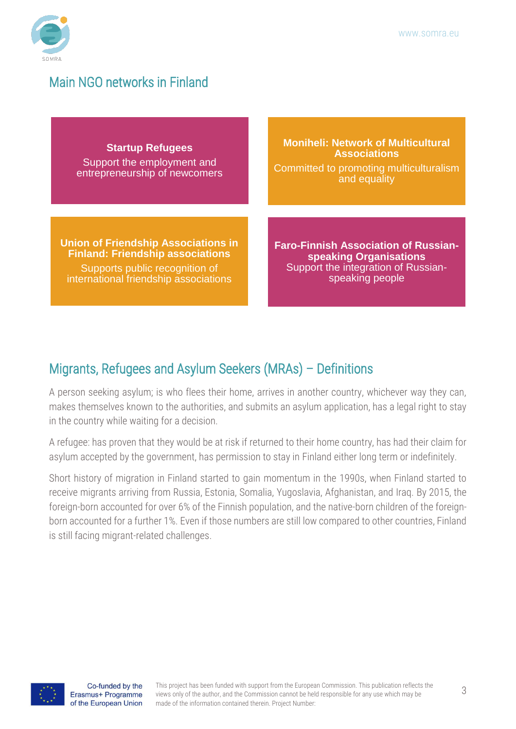

#### Main NGO networks in Finland

**Startup Refugees**

Support the employment and entrepreneurship of newcomers

**Union of Friendship Associations in Finland: Friendship associations** Supports public recognition of international friendship associations

**Moniheli: Network of Multicultural Associations** Committed to promoting multiculturalism and equality

**Faro-Finnish Association of Russianspeaking Organisations** Support the integration of Russianspeaking people

### Migrants, Refugees and Asylum Seekers (MRAs) – Definitions

A person seeking asylum; is who flees their home, arrives in another country, whichever way they can, makes themselves known to the authorities, and submits an asylum application, has a legal right to stay in the country while waiting for a decision.

A refugee: has proven that they would be at risk if returned to their home country, has had their claim for asylum accepted by the government, has permission to stay in Finland either long term or indefinitely.

Short history of migration in Finland started to gain momentum in the 1990s, when Finland started to receive migrants arriving from Russia, Estonia, Somalia, Yugoslavia, Afghanistan, and Iraq. By 2015, the foreign-born accounted for over 6% of the Finnish population, and the native-born children of the foreignborn accounted for a further 1%. Even if those numbers are still low compared to other countries, Finland is still facing migrant-related challenges.

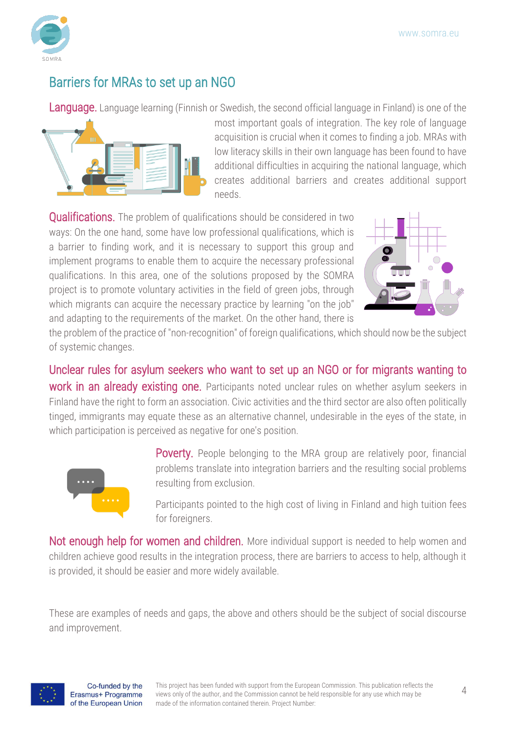

#### Barriers for MRAs to set up an NGO

Language. Language learning (Finnish or Swedish, the second official language in Finland) is one of the



most important goals of integration. The key role of language acquisition is crucial when it comes to finding a job. MRAs with low literacy skills in their own language has been found to have additional difficulties in acquiring the national language, which creates additional barriers and creates additional support needs.

**Qualifications.** The problem of qualifications should be considered in two ways: On the one hand, some have low professional qualifications, which is a barrier to finding work, and it is necessary to support this group and implement programs to enable them to acquire the necessary professional qualifications. In this area, one of the solutions proposed by the SOMRA project is to promote voluntary activities in the field of green jobs, through which migrants can acquire the necessary practice by learning "on the job" and adapting to the requirements of the market. On the other hand, there is



the problem of the practice of "non-recognition" of foreign qualifications, which should now be the subject of systemic changes.

Unclear rules for asylum seekers who want to set up an NGO or for migrants wanting to work in an already existing one. Participants noted unclear rules on whether asylum seekers in Finland have the right to form an association. Civic activities and the third sector are also often politically tinged, immigrants may equate these as an alternative channel, undesirable in the eyes of the state, in which participation is perceived as negative for one's position.



Poverty. People belonging to the MRA group are relatively poor, financial problems translate into integration barriers and the resulting social problems resulting from exclusion.

Participants pointed to the high cost of living in Finland and high tuition fees for foreigners.

Not enough help for women and children. More individual support is needed to help women and children achieve good results in the integration process, there are barriers to access to help, although it is provided, it should be easier and more widely available.

These are examples of needs and gaps, the above and others should be the subject of social discourse and improvement.

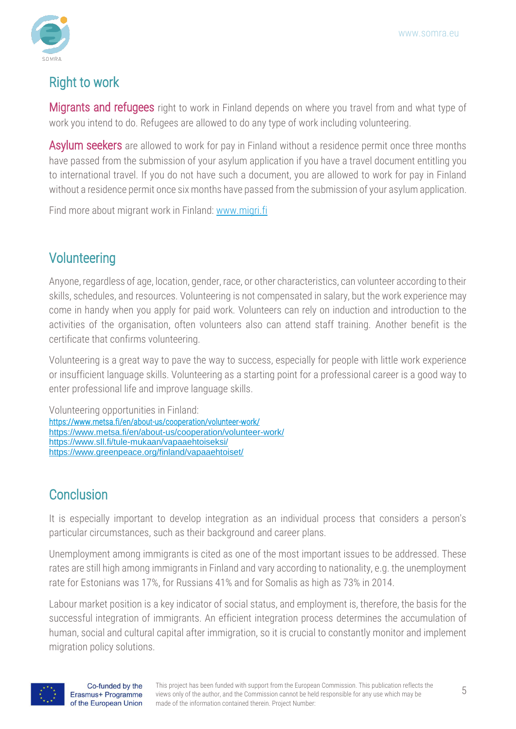

#### Right to work

**Migrants and refugees** right to work in Finland depends on where you travel from and what type of work you intend to do. Refugees are allowed to do any type of work including volunteering.

**Asylum seekers** are allowed to work for pay in Finland without a residence permit once three months have passed from the submission of your asylum application if you have a travel document entitling you to international travel. If you do not have such a document, you are allowed to work for pay in Finland without a residence permit once six months have passed from the submission of your asylum application.

Find more about migrant work in Finland: [www.migri.fi](about:blank)

### Volunteering

Anyone, regardless of age, location, gender, race, or other characteristics, can volunteer according to their skills, schedules, and resources. Volunteering is not compensated in salary, but the work experience may come in handy when you apply for paid work. Volunteers can rely on induction and introduction to the activities of the organisation, often volunteers also can attend staff training. Another benefit is the certificate that confirms volunteering.

Volunteering is a great way to pave the way to success, especially for people with little work experience or insufficient language skills. Volunteering as a starting point for a professional career is a good way to enter professional life and improve language skills.

Volunteering opportunities in Finland: <https://www.metsa.fi/en/about-us/cooperation/volunteer-work/> <https://www.metsa.fi/en/about-us/cooperation/volunteer-work/> <https://www.sll.fi/tule-mukaan/vapaaehtoiseksi/> <https://www.greenpeace.org/finland/vapaaehtoiset/>

## **Conclusion**

It is especially important to develop integration as an individual process that considers a person's particular circumstances, such as their background and career plans.

Unemployment among immigrants is cited as one of the most important issues to be addressed. These rates are still high among immigrants in Finland and vary according to nationality, e.g. the unemployment rate for Estonians was 17%, for Russians 41% and for Somalis as high as 73% in 2014.

Labour market position is a key indicator of social status, and employment is, therefore, the basis for the successful integration of immigrants. An efficient integration process determines the accumulation of human, social and cultural capital after immigration, so it is crucial to constantly monitor and implement migration policy solutions.